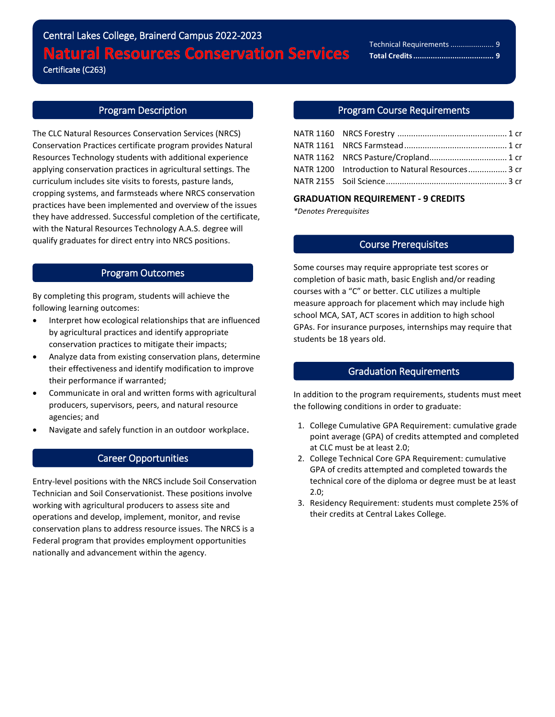# Central Lakes College, Brainerd Campus 2022-2023 **Natural Resources Conservation Services**

Certificate (C263)

l

## Program Description

The CLC Natural Resources Conservation Services (NRCS) Conservation Practices certificate program provides Natural Resources Technology students with additional experience applying conservation practices in agricultural settings. The curriculum includes site visits to forests, pasture lands, cropping systems, and farmsteads where NRCS conservation practices have been implemented and overview of the issues they have addressed. Successful completion of the certificate, with the Natural Resources Technology A.A.S. degree will qualify graduates for direct entry into NRCS positions.

### Program Outcomes

By completing this program, students will achieve the following learning outcomes:

- Interpret how ecological relationships that are influenced by agricultural practices and identify appropriate conservation practices to mitigate their impacts;
- Analyze data from existing conservation plans, determine their effectiveness and identify modification to improve their performance if warranted;
- Communicate in oral and written forms with agricultural producers, supervisors, peers, and natural resource agencies; and
- Navigate and safely function in an outdoor workplace.

## Career Opportunities

Entry-level positions with the NRCS include Soil Conservation Technician and Soil Conservationist. These positions involve working with agricultural producers to assess site and operations and develop, implement, monitor, and revise conservation plans to address resource issues. The NRCS is a Federal program that provides employment opportunities nationally and advancement within the agency.

#### Program Course Requirements

| NATR 1200 Introduction to Natural Resources 3 cr |  |
|--------------------------------------------------|--|
|                                                  |  |

#### **GRADUATION REQUIREMENT - 9 CREDITS**

*\*Denotes Prerequisites*

### Course Prerequisites

Some courses may require appropriate test scores or completion of basic math, basic English and/or reading courses with a "C" or better. CLC utilizes a multiple measure approach for placement which may include high school MCA, SAT, ACT scores in addition to high school GPAs. For insurance purposes, internships may require that students be 18 years old.

#### Graduation Requirements

In addition to the program requirements, students must meet the following conditions in order to graduate:

- 1. College Cumulative GPA Requirement: cumulative grade point average (GPA) of credits attempted and completed at CLC must be at least 2.0;
- 2. College Technical Core GPA Requirement: cumulative GPA of credits attempted and completed towards the technical core of the diploma or degree must be at least 2.0;
- 3. Residency Requirement: students must complete 25% of their credits at Central Lakes College.